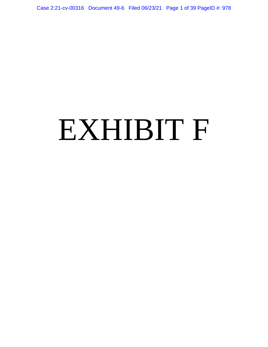Case 2:21-cv-00316 Document 49-6 Filed 06/23/21 Page 1 of 39 PageID #: 978

# EXHIBIT F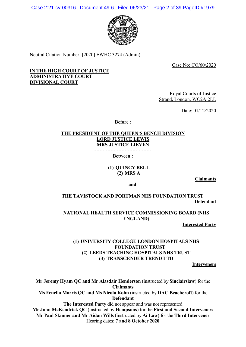Case 2:21-cv-00316 Document 49-6 Filed 06/23/21 Page 2 of 39 PageID #: 979



Neutral Citation Number: [2020] EWHC 3274 (Admin)

Case No: CO/60/2020

## **IN THE HIGH COURT OF JUSTICE ADMINISTRATIVE COURT DIVISIONAL COURT**

Royal Courts of Justice Strand, London, WC2A 2LL

Date: 01/12/2020

**Before** :

#### **THE PRESIDENT OF THE QUEEN'S BENCH DIVISION LORD JUSTICE LEWIS MRS JUSTICE LIEVEN**

- - - - - - - - - - - - - - - - - - - - -

**Between :**

#### **(1) QUINCY BELL (2) MRS A**

**Claimants**

**and**

# **THE TAVISTOCK AND PORTMAN NHS FOUNDATION TRUST Defendant**

# **NATIONAL HEALTH SERVICE COMMISSIONING BOARD (NHS ENGLAND)**

**Interested Party**

# **(1) UNIVERSITY COLLEGE LONDON HOSPITALS NHS FOUNDATION TRUST (2) LEEDS TEACHING HOSPITALS NHS TRUST (3) TRANSGENDER TREND LTD**

**Interveners**

**Mr Jeremy Hyam QC and Mr Alasdair Henderson** (instructed by **Sinclairslaw**) for the **Claimants Ms Fenella Morris QC and Ms Nicola Kohn** (instructed by **DAC Beachcroft**) for the **Defendant The Interested Party** did not appear and was not represented **Mr John McKendrick QC** (instructed by **Hempsons**) for the **First and Second Interveners Mr Paul Skinner and Mr Aidan Wills** (instructed by **Ai Law)** for the **Third Intervener** Hearing dates: **7 and 8 October 2020**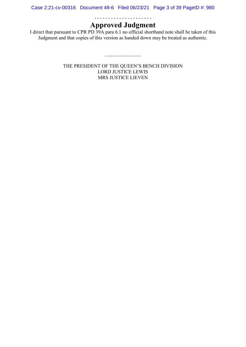Case 2:21-cv-00316 Document 49-6 Filed 06/23/21 Page 3 of 39 PageID #: 980

# **Approved Judgment**

- - - - - - - - - - - - - - - - - - - - -

I direct that pursuant to CPR PD 39A para 6.1 no official shorthand note shall be taken of this Judgment and that copies of this version as handed down may be treated as authentic.

> THE PRESIDENT OF THE QUEEN'S BENCH DIVISION LORD JUSTICE LEWIS MRS JUSTICE LIEVEN

.............................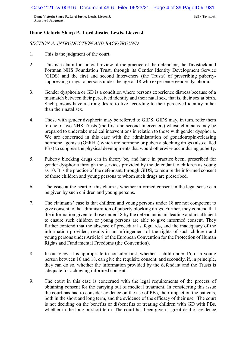Bell v Tavistock

### **Dame Victoria Sharp P., Lord Justice Lewis, Lieven J***.*

#### *SECTION A: INTRODUCTION AND BACKGROUND*

- 1. This is the judgment of the court.
- 2. This is a claim for judicial review of the practice of the defendant, the Tavistock and Portman NHS Foundation Trust, through its Gender Identity Development Service (GIDS) and the first and second Interveners (the Trusts) of prescribing pubertysuppressing drugs to persons under the age of 18 who experience gender dysphoria.
- 3. Gender dysphoria or GD is a condition where persons experience distress because of a mismatch between their perceived identity and their natal sex, that is, their sex at birth. Such persons have a strong desire to live according to their perceived identity rather than their natal sex.
- 4. Those with gender dysphoria may be referred to GIDS. GIDS may, in turn, refer them to one of two NHS Trusts (the first and second Interveners) whose clinicians may be prepared to undertake medical interventions in relation to those with gender dysphoria. We are concerned in this case with the administration of gonadotropin-releasing hormone agonists (GnRHa) which are hormone or puberty blocking drugs (also called PBs) to suppress the physical developments that would otherwise occur during puberty.
- 5. Puberty blocking drugs can in theory be, and have in practice been, prescribed for gender dysphoria through the services provided by the defendant to children as young as 10. It is the practice of the defendant, through GIDS, to require the informed consent of those children and young persons to whom such drugs are prescribed.
- 6. The issue at the heart of this claim is whether informed consent in the legal sense can be given by such children and young persons.
- 7. The claimants' case is that children and young persons under 18 are not competent to give consent to the administration of puberty blocking drugs. Further, they contend that the information given to those under 18 by the defendant is misleading and insufficient to ensure such children or young persons are able to give informed consent. They further contend that the absence of procedural safeguards, and the inadequacy of the information provided, results in an infringement of the rights of such children and young persons under Article 8 of the European Convention for the Protection of Human Rights and Fundamental Freedoms (the Convention).
- 8. In our view, it is appropriate to consider first, whether a child under 16, or a young person between 16 and 18, can give the requisite consent; and secondly, if, in principle, they can do so, whether the information provided by the defendant and the Trusts is adequate for achieving informed consent.
- 9. The court in this case is concerned with the legal requirements of the process of obtaining consent for the carrying out of medical treatment. In considering this issue the court has had to consider evidence on the use of PBs, their impact on the patients, both in the short and long term, and the evidence of the efficacy of their use. The court is not deciding on the benefits or disbenefits of treating children with GD with PBs, whether in the long or short term. The court has been given a great deal of evidence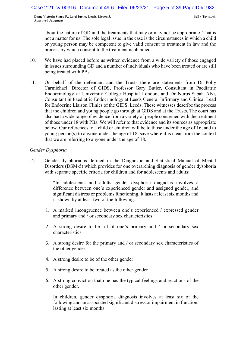about the nature of GD and the treatments that may or may not be appropriate. That is not a matter for us. The sole legal issue in the case is the circumstances in which a child or young person may be competent to give valid consent to treatment in law and the process by which consent to the treatment is obtained.

- 10. We have had placed before us written evidence from a wide variety of those engaged in issues surrounding GD and a number of individuals who have been treated or are still being treated with PBs.
- 11. On behalf of the defendant and the Trusts there are statements from Dr Polly Carmichael, Director of GIDS, Professor Gary Butler, Consultant in Paediatric Endocrinology at University College Hospital London, and Dr Nurus-Sabah Alvi, Consultant in Paediatric Endocrinology at Leeds General Infirmary and Clinical Lead for Endocrine Liaison Clinics of the GIDS, Leeds. These witnesses describe the process that the children and young people go through at GIDS and at the Trusts. The court has also had a wide range of evidence from a variety of people concerned with the treatment of those under 18 with PBs. We will refer to that evidence and its sources as appropriate below. Our references to a child or children will be to those under the age of 16, and to young person(s) to anyone under the age of 18, save where it is clear from the context that we are referring to anyone under the age of 18.

#### *Gender Dysphoria*

12. Gender dysphoria is defined in the Diagnostic and Statistical Manual of Mental Disorders (DSM-5) which provides for one overarching diagnosis of gender dysphoria with separate specific criteria for children and for adolescents and adults:

> "In adolescents and adults gender dysphoria diagnosis involves a difference between one's experienced gender and assigned gender, and significant distress or problems functioning. It lasts at least six months and is shown by at least two of the following:

- 1. A marked incongruence between one's experienced / expressed gender and primary and / or secondary sex characteristics
- 2. A strong desire to be rid of one's primary and / or secondary sex characteristics
- 3. A strong desire for the primary and / or secondary sex characteristics of the other gender
- 4. A strong desire to be of the other gender
- 5. A strong desire to be treated as the other gender
- 6. A strong conviction that one has the typical feelings and reactions of the other gender.

In children, gender dysphoria diagnosis involves at least six of the following and an associated significant distress or impairment in function, lasting at least six months: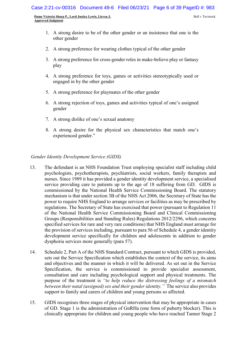- 1. A strong desire to be of the other gender or an insistence that one is the other gender
- 2. A strong preference for wearing clothes typical of the other gender
- 3. A strong preference for cross-gender roles in make-believe play or fantasy play
- 4. A strong preference for toys, games or activities stereotypically used or engaged in by the other gender
- 5. A strong preference for playmates of the other gender
- 6. A strong rejection of toys, games and activities typical of one's assigned gender
- 7. A strong dislike of one's sexual anatomy
- 8. A strong desire for the physical sex characteristics that match one's experienced gender."

#### *Gender Identity Development Service (GIDS)*

- 13. The defendant is an NHS Foundation Trust employing specialist staff including child psychologists, psychotherapists, psychiatrists, social workers, family therapists and nurses. Since 1989 it has provided a gender identity development service, a specialised service providing care to patients up to the age of 18 suffering from GD. GIDS is commissioned by the National Health Service Commissioning Board. The statutory mechanism is that under section 3B of the NHS Act 2006, the Secretary of State has the power to require NHS England to arrange services or facilities as may be prescribed by regulations. The Secretary of State has exercised that power (pursuant to Regulation 11 of the National Health Service Commissioning Board and Clinical Commissioning Groups (Responsibilities and Standing Rules) Regulations 2012/2296, which concerns specified services for rare and very rare conditions) that NHS England must arrange for the provision of services including, pursuant to para 56 of Schedule 4, a gender identity development service specifically for children and adolescents in addition to gender dysphoria services more generally (para 57).
- 14. Schedule 2, Part A of the NHS Standard Contract, pursuant to which GIDS is provided, sets out the Service Specification which establishes the context of the service, its aims and objectives and the manner in which it will be delivered. As set out in the Service Specification, the service is commissioned to provide specialist assessment, consultation and care including psychological support and physical treatments. The purpose of the treatment is *"to help reduce the distressing feelings of a mismatch between their natal (assigned) sex and their gender identity."* The service also provides support to family and carers of children and young persons so affected.
- 15. GIDS recognises three stages of physical intervention that may be appropriate in cases of GD. Stage 1 is the administration of GnRHa (one form of puberty blocker). This is clinically appropriate for children and young people who have reached Tanner Stage 2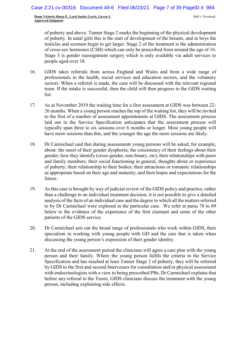Bell v Tavistock

of puberty and above. Tanner Stage 2 marks the beginning of the physical development of puberty. In natal girls this is the start of development of the breasts, and in boys the testicles and scrotum begin to get larger. Stage 2 of the treatment is the administration of cross-sex hormones (CSH) which can only be prescribed from around the age of 16. Stage 3 is gender reassignment surgery which is only available via adult services to people aged over 18.

- 16. GIDS takes referrals from across England and Wales and from a wide range of professionals in the health, social services and education sectors, and the voluntary sectors. When a referral is made, the case will be discussed with the relevant regional team. If the intake is successful, then the child will then progress to the GIDS waiting list.
- 17. As at November 2019 the waiting time for a first assessment at GIDS was between 22- 26 months. When a young person reaches the top of the waiting list, they will be invited to the first of a number of assessment appointments at GIDS. The assessment process laid out in the Service Specification anticipates that the assessment process will typically span three to six sessions over 6 months or longer. Most young people will have more sessions than this, and the younger the age the more sessions are likely.
- 18. Dr Carmichael said that during assessments young persons will be asked, for example, about: the onset of their gender dysphoria; the consistency of their feelings about their gender; how they identify (cross-gender, non-binary, etc); their relationships with peers and family members; their social functioning in general, thoughts about or experience of puberty; their relationship to their bodies; their attractions or romantic relationships as appropriate based on their age and maturity; and their hopes and expectations for the future.
- 19. As this case is brought by way of judicial review of the GIDS policy and practice, rather than a challenge to an individual treatment decision, it is not possible to give a detailed analysis of the facts of an individual case and the degree to which all the matters referred to by Dr Carmichael were explored in the particular case. We refer at paras 78 to 89 below to the evidence of the experience of the first claimant and some of the other patients of the GIDS service.
- 20. Dr Carmichael sets out the broad range of professionals who work within GIDS, their specialism in working with young people with GD and the care that is taken when discussing the young person's expression of their gender identity.
- 21. At the end of the assessment period the clinicians will agree a care plan with the young person and their family. Where the young person fulfils the criteria in the Service Specification and has reached at least Tanner Stage 2 of puberty, they will be referred by GIDS to the first and second Interveners for consultation and/or physical assessment with endocrinologists with a view to being prescribed PBs. Dr Carmichael explains that before any referral to the Trusts, GIDS clinicians discuss the treatment with the young person, including explaining side effects.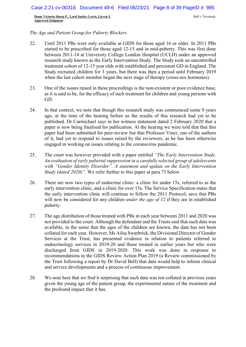#### *The Age and Patient Group for Puberty Blockers*

- 22. Until 2011 PBs were only available at GIDS for those aged 16 or older. In 2011 PBs started to be prescribed for those aged 12-15 and in mid-puberty. This was first done between 2011-14 at University College London Hospital (UCLH) under an approved research study known as the Early Intervention Study. The Study took an uncontrolled treatment cohort of 12-15 year olds with established and persistent GD in England. The Study recruited children for 3 years, but there was then a period until February 2019 when the last cohort member began the next stage of therapy (cross-sex hormones).
- 23. One of the issues raised in these proceedings is the non-existent or poor evidence base, as it is said to be, for the efficacy of such treatment for children and young persons with GD.
- 24. In that context, we note that though this research study was commenced some 9 years ago, at the time of the hearing before us the results of this research had yet to be published. Dr Carmichael says in her witness statement dated 2 February 2020 that a paper is now being finalised for publication. At the hearing we were told that that this paper had been submitted for peer-review but that Professor Viner, one of the authors of it, had yet to respond to issues raised by the reviewers, as he has been otherwise engaged in working on issues relating to the coronavirus pandemic.
- <span id="page-7-0"></span>25. The court was however provided with a paper entitled *"The Early Intervention Study. An evaluation of early pubertal suppression in a carefully selected group of adolescents with "Gender Identity Disorder". A statement and update on the Early Intervention Study (dated 2020)".* We refer further to this paper at para 73 below.
- 26. There are now two types of endocrine clinic: a clinic for under 15s, referred to as the early intervention clinic, and a clinic for over 15s. The Service Specification states that the early intervention clinic will continue to follow the 2011 Protocol, save that PBs will now be considered for any children *under the age of 12* if they are in established puberty.
- 27. The age distribution of those treated with PBs in each year between 2011 and 2020 was not provided to the court. Although the defendant and the Trusts said that such data was available, in the sense that the ages of the children are known, the data has not been collated for each year. However, Ms Ailsa Swarbrick, the Divisional Director of Gender Services at the Trust, has presented evidence in relation to patients referred to endocrinology services in 2019-20 and those treated in earlier years but who were discharged from GIDS in 2019-2020. This work was done in response to recommendations in the GIDS Review Action Plan 2019 (a Review commissioned by the Trust following a report by Dr David Bell) that data would help to inform clinical and service developments and a process of continuous improvement.
- 28. We note here that we find it surprising that such data was not collated in previous years given the young age of the patient group, the experimental nature of the treatment and the profound impact that it has.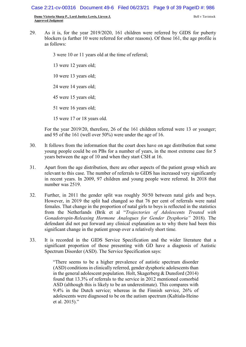29. As it is, for the year 2019/2020, 161 children were referred by GIDS for puberty blockers (a further 10 were referred for other reasons). Of those 161, the age profile is as follows:

3 were 10 or 11 years old at the time of referral;

13 were 12 years old;

10 were 13 years old;

24 were 14 years old;

45 were 15 years old;

51 were 16 years old;

15 were 17 or 18 years old.

For the year 2019/20, therefore, 26 of the 161 children referred were 13 or younger; and 95 of the 161 (well over 50%) were under the age of 16.

- 30. It follows from the information that the court does have on age distribution that some young people could be on PBs for a number of years, in the most extreme case for 5 years between the age of 10 and when they start CSH at 16.
- 31. Apart from the age distribution, there are other aspects of the patient group which are relevant to this case. The number of referrals to GIDS has increased very significantly in recent years. In 2009, 97 children and young people were referred. In 2018 that number was 2519.
- 32. Further, in 2011 the gender split was roughly 50/50 between natal girls and boys. However, in 2019 the split had changed so that 76 per cent of referrals were natal females. That change in the proportion of natal girls to boys is reflected in the statistics from the Netherlands (Brik et al "*Trajectories of Adolescents Treated with Gonadotropin-Releasing Hormone Analogues for Gender Dysphoria"* 2018). The defendant did not put forward any clinical explanation as to why there had been this significant change in the patient group over a relatively short time.
- 33. It is recorded in the GIDS Service Specification and the wider literature that a significant proportion of those presenting with GD have a diagnosis of Autistic Spectrum Disorder (ASD). The Service Specification says:

"There seems to be a higher prevalence of autistic spectrum disorder (ASD) conditions in clinically referred, gender dysphoric adolescents than in the general adolescent population. Holt, Skagerberg & Dunsford (2014) found that 13.3% of referrals to the service in 2012 mentioned comorbid ASD (although this is likely to be an underestimate). This compares with 9.4% in the Dutch service; whereas in the Finnish service, 26% of adolescents were diagnosed to be on the autism spectrum (Kaltiala-Heino et al. 2015)."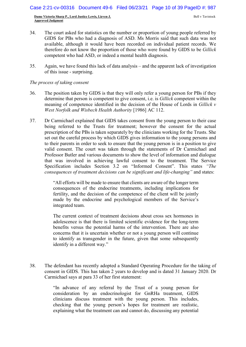- 34. The court asked for statistics on the number or proportion of young people referred by GIDS for PBs who had a diagnosis of ASD. Ms Morris said that such data was not available, although it would have been recorded on individual patient records. We therefore do not know the proportion of those who were found by GIDS to be *Gillick* competent who had ASD, or indeed a mental health diagnosis.
- 35. Again, we have found this lack of data analysis and the apparent lack of investigation of this issue - surprising.

#### *The process of taking consent*

- 36. The position taken by GIDS is that they will only refer a young person for PBs if they determine that person is competent to give consent, i.e. is *Gillick* competent within the meaning of competence identified in the decision of the House of Lords in *Gillick v West Norfolk and Wisbech Health Authority* [1986] AC 112.
- 37. Dr Carmichael explained that GIDS takes consent from the young person to their case being referred to the Trusts for treatment; however the consent for the actual prescription of the PBs is taken separately by the clinicians working for the Trusts. She set out the careful process by which GIDS gives information to the young persons and to their parents in order to seek to ensure that the young person is in a position to give valid consent. The court was taken through the statements of Dr Carmichael and Professor Butler and various documents to show the level of information and dialogue that was involved in achieving lawful consent to the treatment. The Service Specification includes Section 3.2 on "Informed Consent". This states *"The consequences of treatment decisions can be significant and life-changing"* and states:

"All efforts will be made to ensure that clients are aware of the longer term consequences of the endocrine treatments, including implications for fertility, and the decision of the competence of the client will be jointly made by the endocrine and psychological members of the Service's integrated team.

The current context of treatment decisions about cross sex hormones in adolescence is that there is limited scientific evidence for the long-term benefits versus the potential harms of the intervention. There are also concerns that it is uncertain whether or not a young person will continue to identify as transgender in the future, given that some subsequently identify in a different way."

38. The defendant has recently adopted a Standard Operating Procedure for the taking of consent in GIDS. This has taken 2 years to develop and is dated 31 January 2020. Dr Carmichael says at para 33 of her first statement:

> "In advance of any referral by the Trust of a young person for consideration by an endocrinologist for GnRHa treatment, GIDS clinicians discuss treatment with the young person. This includes, checking that the young person's hopes for treatment are realistic, explaining what the treatment can and cannot do, discussing any potential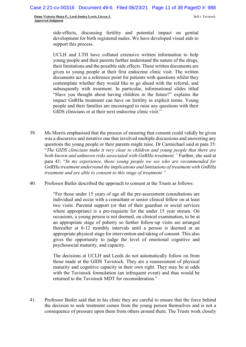Bell v Tavistock

side-effects, discussing fertility and potential impact on genital development for birth registered males. We have developed visual aids to support this process.

UCLH and LTH have collated extensive written information to help young people and their parents further understand the nature of the drugs, their limitations and the possible side effects. These written documents are given to young people at their first endocrine clinic visit. The written documents act as a reference point for patients with questions whilst they contemplate whether they would like to go ahead with the referral, and subsequently with treatment. In particular, informational slides titled "Have you thought about having children in the future?" explains the impact GnRHa treatment can have on fertility in explicit terms. Young people and their families are encouraged to raise any questions with their GIDS clinicians or at their next endocrine clinic visit."

- 39. Ms Morris emphasised that the process of ensuring that consent could validly be given was a discursive and iterative one that involved multiple discussions and answering any questions the young people or their parents might raise. Dr Carmichael said at para 35: "*The GIDS clinicians make it very clear to children and young people that there are both known and unknown risks associated with GnRHa treatment."* Further, she said at para 41: "*In my experience, those young people we see who are recommended for GnRHa treatment understand the implications and limitations of treatment with GnRHa treatment and are able to consent to this stage of treatment."*
- 40. Professor Butler described the approach to consent at the Trusts as follows:

"For those under 15 years of age all the pre-assessment consultations are individual and occur with a consultant or senior clinical fellow on at least two visits. Parental support (or that of their guardian or social services where appropriate) is a pre-requisite for the under 15 year stream. On occasions, a young person is not deemed, on clinical examination, to be at an appropriate stage of puberty so further follow-up visits are arranged thereafter at 6-12 monthly intervals until a person is deemed at an appropriate physical stage for intervention and taking of consent. This also gives the opportunity to judge the level of emotional cognitive and psychosocial maturity, and capacity.

The decisions at UCLH and Leeds do not automatically follow on from those made at the GIDS Tavistock. They are a reassessment of physical maturity and cognitive capacity in their own right. They may be at odds with the Tavistock formulation (an infrequent event) and thus would be returned to the Tavistock MDT for reconsideration."

41. Professor Butler said that in his clinic they are careful to ensure that the force behind the decision to seek treatment comes from the young person themselves and is not a consequence of pressure upon them from others around them. The Trusts work closely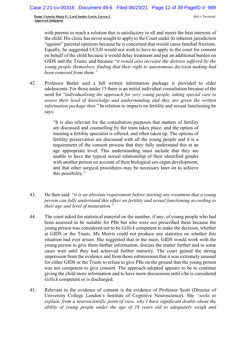Bell v Tavistock

with parents to reach a solution that is satisfactory to all and meets the best interests of the child. His clinic has never sought to apply to the Court under its inherent jurisdiction "against" parental opinions because he is concerned that would cause familial frictions. Equally, he suggested UCLH would not wish to have to apply to the court for consent on behalf of the child because it would delay treatment and put an additional burden on GIDS and the Trusts; and because "*it would also increase the distress suffered by the young people themselves, finding that their right to autonomous decision making had been removed from them."*

42. Professor Butler said a full written information package is provided to older adolescents. For those under 15 there is an initial individual consultation because of the need for "*individualising the approach for very young people, taking special care to assess their level of knowledge and understanding and they are given the written information package then.*" In relation to impacts on fertility and sexual functioning he says:

> "It is also relevant for the consultation purposes that matters of fertility are discussed and counselling by the team takes place, and the option of meeting a fertility specialist is offered, and often taken up. The options of fertility preservation are discussed with all the young people and it is a requirement of the consent process that they fully understand this at an age appropriate level. This understanding must include that they are unable to have the typical sexual relationship of their identified gender with another person on account of their biological sex organ development, and that other surgical procedures may be necessary later on to achieve this possibility."

- 43. He then said: "*it is an absolute requirement before starting any treatment that a young person can fully understand this effect on fertility and sexual functioning according to their age and level of maturation."*
- 44. The court asked for statistical material on the number, if any, of young people who had been assessed to be suitable for PBs but who were *not* prescribed them because the young person was considered not to be *Gillick* competent to make the decision, whether at GIDS or the Trusts. Ms Morris could not produce any statistics on whether this situation had ever arisen. She suggested that in the main, GIDS would work with the young person to give them further information, discuss the matter further and in some cases wait until they had achieved further maturity. The court gained the strong impression from the evidence and from those submissions that it was extremely unusual for either GIDS or the Trusts to refuse to give PBs on the ground that the young person was not competent to give consent. The approach adopted appears to be to continue giving the child more information and to have more discussions until s/he is considered *Gillick* competent or is discharged.
- 45. Relevant to the evidence of consent is the evidence of Professor Scott (Director of University College London's Institute of Cognitive Neuroscience). She *"seeks to explain, from a neuroscientific point of view, why I have significant doubts about the ability of young people under the age of 18 years old to adequately weigh and*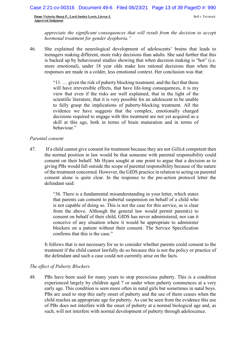Bell v Tavistock

*appreciate the significant consequences that will result from the decision to accept hormonal treatment for gender dysphoria."* 

46. She explained the neurological development of adolescents' brains that leads to teenagers making different, more risky decisions than adults. She said further that this is backed up by behavioural studies showing that when decision making is "hot" (i.e. more emotional), under 18 year olds make less rational decisions than when the responses are made in a colder, less emotional context. Her conclusion was that:

> " $11. \ldots$  given the risk of puberty blocking treatment, and the fact that these will have irreversible effects, that have life-long consequences, it is my view that even if the risks are well explained, that in the light of the scientific literature, that it is very possible for an adolescent to be unable to fully grasp the implications of puberty-blocking treatment. All the evidence we have suggests that the complex, emotionally charged decisions required to engage with this treatment are not yet acquired as a skill at this age, both in terms of brain maturation and in terms of behaviour."

#### *Parental consent*

47. If a child cannot give consent for treatment because they are not *Gillick* competent then the normal position in law would be that someone with parental responsibility could consent on their behalf. Mr Hyam sought at one point to argue that a decision as to giving PBs would fall outside the scope of parental responsibility because of the nature of the treatment concerned. However, the GIDS practice in relation to acting on parental consent alone is quite clear. In the response to the pre-action protocol letter the defendant said:

> "36. There is a fundamental misunderstanding in your letter, which states that parents can consent to pubertal suspension on behalf of a child who is not capable of doing so. This is not the case for this service, as is clear from the above. Although the general law would permit parent(s) to consent on behalf of their child, GIDS has never administered, nor can it conceive of any situation where it would be appropriate to administer blockers on a patient without their consent. The Service Specification confirms that this is the case."

It follows that is not necessary for us to consider whether parents could consent to the treatment if the child cannot lawfully do so because this is not the policy or practice of the defendant and such a case could not currently arise on the facts.

#### *The effect of Puberty Blockers*

48. PBs have been used for many years to stop precocious puberty. This is a condition experienced largely by children aged 7 or under when puberty commences at a very early age. This condition is seen more often in natal girls but sometimes in natal boys. PBs are used to stop this early onset of puberty and the use of them ceases when the child reaches an appropriate age for puberty. As can be seen from the evidence this use of PBs does not interfere with the onset of puberty at a normal biological age and, as such, will not interfere with normal development of puberty through adolescence.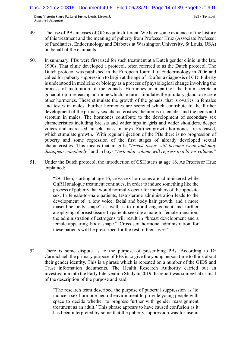Bell v Tavistock

- 49. The use of PBs in cases of GD is quite different. We have some evidence of the history of this treatment and the meaning of puberty from Professor Hruz (Associate Professor of Paediatrics, Endocrinology and Diabetes at Washington University, St Louis, USA) on behalf of the claimants.
- 50. In summary, PBs were first used for such treatment at a Dutch gender clinic in the late 1990s. That clinic developed a protocol, often referred to as the Dutch protocol. The Dutch protocol was published in the European Journal of Endocrinology in 2006 and called for puberty suppression to begin at the age of 12 after a diagnosis of GD. Puberty is understood in medicine or biology as a process of physiological change involving the process of maturation of the gonads. Hormones in a part of the brain secrete a gonadotropin-releasing hormone which, in turn, stimulates the pituitary gland to secrete other hormones. These stimulate the growth of the gonads, that is ovaries in females and testes in males. Further hormones are secreted which contribute to the further development of the primary sex characteristics, the uterus in females and the penis and scrotum in males. The hormones contribute to the development of secondary sex characteristics including breasts and wider hips in girls and wider shoulders, deeper voices and increased muscle mass in boys. Further growth hormones are released, which stimulate growth. With regular injection of the PBs there is no progression of puberty and some regression of the first stages of already developed sexual characteristics. This means that in girls *"breast tissue will become weak and may disappear completely"* and in boys *"testicular volume will regress to a lower volume."*
- 51. Under the Dutch protocol, the introduction of CSH starts at age 16. As Professor Hruz explained:

"29. Then, starting at age 16, cross-sex hormones are administered while GnRH analogue treatment continues, in order to induce something like the process of puberty that would normally occur for members of the opposite sex. In female-to-male patients, testosterone administration leads to the development of "a low voice, facial and body hair growth, and a more masculine body shape" as well as to clitoral engagement and further atrophying of breast tissue. In patients seeking a male-to-female transition, the administration of estrogens will result in "breast development and a female-appearing body shape." Cross-sex hormone administration for these patients will be prescribed for the rest of their lives."

52. There is some dispute as to the purpose of prescribing PBs. According to Dr Carmichael, the primary purpose of PBs is to give the young person time to think about their gender identity. This is a phrase which is repeated on a number of the GIDS and Trust information documents. The Health Research Authority carried out an investigation into the Early Intervention Study in 2019. Its report was somewhat critical of the description of the purpose and said:

> "The research team described the purpose of pubertal suppression as 'to induce a sex hormone-neutral environment to provide young people with space to decide whether to progress further with gender reassignment treatment as an adult.' This phrase appears to have caused confusion as it has been interpreted by some that the puberty suppression was for use in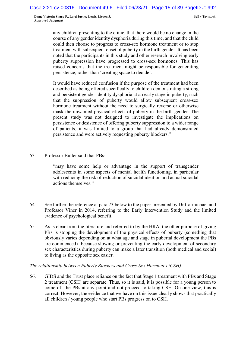Bell v Tavistock

any children presenting to the clinic, that there would be no change in the course of any gender identity dysphoria during this time, and that the child could then choose to progress to cross-sex hormone treatment or to stop treatment with subsequent onset of puberty in the birth gender. It has been noted that the participants in this study and other research involving early puberty suppression have progressed to cross-sex hormones. This has raised concerns that the treatment might be responsible for generating persistence, rather than 'creating space to decide'.

It would have reduced confusion if the purpose of the treatment had been described as being offered specifically to children demonstrating a strong and persistent gender identity dysphoria at an early stage in puberty, such that the suppression of puberty would allow subsequent cross-sex hormone treatment without the need to surgically reverse or otherwise mask the unwanted physical effects of puberty in the birth gender. The present study was not designed to investigate the implications on persistence or desistence of offering puberty suppression to a wider range of patients, it was limited to a group that had already demonstrated persistence and were actively requesting puberty blockers."

53. Professor Butler said that PBs:

"may have some help or advantage in the support of transgender adolescents in some aspects of mental health functioning, in particular with reducing the risk of reduction of suicidal ideation and actual suicidal actions themselves."

- 54. See further the reference at para 73 below to the paper presented by Dr Carmichael and Professor Viner in 2014, referring to the Early Intervention Study and the limited evidence of psychological benefit.
- 55. As is clear from the literature and referred to by the HRA, the other purpose of giving PBs is stopping the development of the physical effects of puberty (something that obviously varies depending on at what age and stage in pubertal development the PBs are commenced) because slowing or preventing the early development of secondary sex characteristics during puberty can make a later transition (both medical and social) to living as the opposite sex easier.

#### *The relationship between Puberty Blockers and Cross-Sex Hormones (CSH)*

56. GIDS and the Trust place reliance on the fact that Stage 1 treatment with PBs and Stage 2 treatment (CSH) are separate. Thus, so it is said, it is possible for a young person to come off the PBs at any point and not proceed to taking CSH. On one view, this is correct. However, the evidence that we have on this issue clearly shows that practically all children / young people who start PBs progress on to CSH.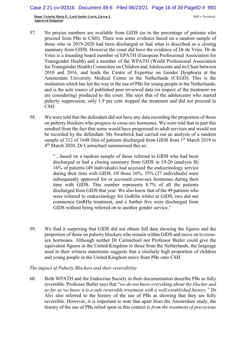- 57. No precise numbers are available from GIDS (as to the percentage of patients who proceed from PBs to CSH). There was some evidence based on a random sample of those who in 2019-2020 had been discharged or had what is described as a closing summary from GIDS. However the court did have the evidence of Dr de Vries. Dr de Vries is a founding board member of EPATH (European Professional Association for Transgender Health) and a member of the WPATH (World Professional Association for Transgender Health) Committee on Children and Adolescents and its Chair between 2010 and 2016, and leads the Centre of Expertise on Gender Dysphoria at the Amsterdam University Medical Centre in the Netherlands (CEGD). This is the institution which has led the way in the use of PBs for young people in the Netherlands; and is the sole source of published peer reviewed data (in respect of the treatment we are considering) produced to the court. She says that of the adolescents who started puberty suppression, only 1.9 per cent stopped the treatment and did not proceed to CSH.
- 58. We were told that the defendant did not have any data recording the proportion of those on puberty blockers who progress to cross-sex hormones. We were told that in part this resulted from the fact that some would have progressed to adult services and would not be recorded by the defendant. Ms Swarbrick had carried out an analysis of a random sample of 312 of 1648 files of patients discharged from GIDS from 1<sup>st</sup> March 2019 to 4th March 2020. Dr Carmichael summarised this as:

"…based on a random sample of those referred to GIDS who had been discharged or had a closing summary from GIDS in 19-20 (analysis B) 16% of patients (49 individuals) had accessed the endocrinology service during their time with GIDS. Of those 16%, 55% (27 individuals) were subsequently approved for or accessed cross-sex hormones during their time with GIDS. This number represents 8.7% of all the patients discharged from GIDS that year. We also know that of the 49 patients who were referred to endocrinology for GnRHa whilst at GIDS, two did not commence GnRHa treatment, and a further five were discharged from GIDS without being referred on to another gender service."

59. We find it surprising that GIDS did not obtain full data showing the figures and the proportion of those on puberty blockers who remain within GIDS and move on to crosssex hormones. Although neither Dr Carmichael nor Professor Butler could give the equivalent figures in the United Kingdom to those from the Netherlands, the language used in their witness statements suggests that a similarly high proportion of children and young people in the United Kingdom move from PBs onto CSH.

#### *The impact of Puberty Blockers and their reversibility*

60. Both WPATH and the Endocrine Society in their documentation describe PBs as fully reversible. Professor Butler says that "*we do not know everything about the blocker and as far as we know it is a safe reversible treatment with a well-established history."* Dr Alvi also referred to the history of the use of PBs as showing that they are fully reversible. However, it is important to note that apart from the Amsterdam study, the history of the use of PBs relied upon in this context is *from the treatment of precocious*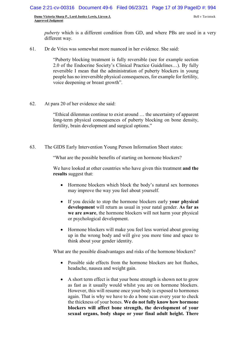Bell v Tavistock

*puberty* which is a different condition from GD, and where PBs are used in a very different way.

61. Dr de Vries was somewhat more nuanced in her evidence. She said:

"Puberty blocking treatment is fully reversible (see for example section 2.0 of the Endocrine Society's Clinical Practice Guidelines…). By fully reversible I mean that the administration of puberty blockers in young people has no irreversible physical consequences, for example for fertility, voice deepening or breast growth".

62. At para 20 of her evidence she said:

"Ethical dilemmas continue to exist around … the uncertainty of apparent long-term physical consequences of puberty blocking on bone density, fertility, brain development and surgical options."

63. The GIDS Early Intervention Young Person Information Sheet states:

"What are the possible benefits of starting on hormone blockers?

We have looked at other countries who have given this treatment **and the results** suggest that:

- Hormone blockers which block the body's natural sex hormones may improve the way you feel about yourself.
- If you decide to stop the hormone blockers early **your physical development** will return as usual in your natal gender. **As far as we are aware**, the hormone blockers will not harm your physical or psychological development.
- Hormone blockers will make you feel less worried about growing up in the wrong body and will give you more time and space to think about your gender identity.

What are the possible disadvantages and risks of the hormone blockers?

- Possible side effects from the hormone blockers are hot flushes, headache, nausea and weight gain.
- A short term effect is that your bone strength is shown not to grow as fast as it usually would whilst you are on hormone blockers. However, this will resume once your body is exposed to hormones again. That is why we have to do a bone scan every year to check the thickness of your bones. **We do not fully know how hormone blockers will affect bone strength, the development of your sexual organs, body shape or your final adult height. There**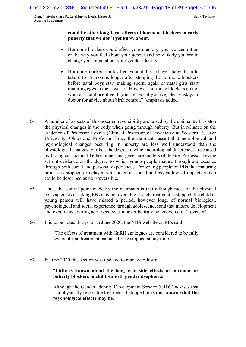Bell v Tavistock

#### **could be other long-term effects of hormone blockers in early puberty that we don't yet know about.**

- Hormone blockers could affect your memory, your concentration or the way you feel about your gender and how likely you are to change your mind about your gender identity.
- Hormone blockers could affect your ability to have a baby. It could take 6 to 12 months longer after stopping the hormone blockers before natal boys start making sperm again or natal girls start maturing eggs in their ovaries. However, hormone blockers do not work as a contraceptive. If you are sexually active, please ask your doctor for advice about birth control." (emphasis added)
- 64. A number of aspects of this asserted reversibility are raised by the claimants. PBs stop the physical changes in the body when going through puberty. But in reliance on the evidence of Professor Levine (Clinical Professor of Psychiatry at Western Reserve University, Ohio) and Professor Hruz, the claimants assert that neurological and psychological changes occurring in puberty are less well understood than the physiological changes. Further, the degree to which neurological differences are caused by biological factors like hormones and genes are matters of debate. Professor Levine set out evidence on the degree to which young people mature through adolescence through both social and personal experiences. For young people on PBs that maturing process is stopped or delayed with potential social and psychological impacts which could be described as non-reversible.
- 65. Thus, the central point made by the claimants is that although most of the physical consequences of taking PBs may be reversible if such treatment is stopped, the child or young person will have missed a period, however long, of normal biological, psychological and social experience through adolescence; and that missed development and experience, during adolescence, can never be truly be recovered or "reversed".
- 66. It is to be noted that prior to June 2020, the NHS website on PBs said:

"The effects of treatment with GnRH analogues are considered to be fully reversible, so treatment can usually be stopped at any time."

67. In June 2020 this section was updated to read as follows:

#### "**Little is known about the long-term side effects of hormone or puberty blockers in children with gender dysphoria.**

Although the Gender Identity Development Service (GIDS) advises that is a physically reversible treatment if stopped, **it is not known what the psychological effects may be.**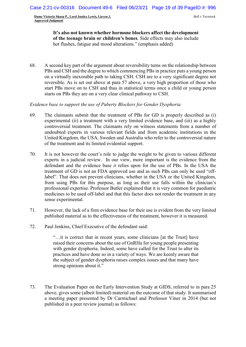Bell v Tavistock

**It's also not known whether hormone blockers affect the development of the teenage brain or children's bones**. Side effects may also include hot flushes, fatigue and mood alterations." (emphasis added)

68. A second key part of the argument about reversibility turns on the relationship between PBs and CSH and the degree to which commencing PBs in practice puts a young person on a virtually inexorable path to taking CSH. CSH are to a very significant degree not reversible. As is set out above at para 57 above, a very high proportion of those who start PBs move on to CSH and thus in statistical terms once a child or young person starts on PBs they are on a very clear clinical pathway to CSH.

*Evidence base to support the use of Puberty Blockers for Gender Dysphoria* 

- 69. The claimants submit that the treatment of PBs for GD is properly described as (i) experimental (ii) a treatment with a very limited evidence base, and (iii) as a highly controversial treatment. The claimants rely on witness statements from a number of undoubted experts in various relevant fields and from academic institutions in the United Kingdom, the USA, Sweden and Australia who refer to the controversial nature of the treatment and its limited evidential support.
- 70. It is not however the court's role to judge the weight to be given to various different experts in a judicial review. In our view, more important is the evidence from the defendant and the evidence base *it* relies upon for the use of PBs. In the USA the treatment of GD is not an FDA approved use and as such PBs can only be used "offlabel". That does not prevent clinicians, whether in the USA or the United Kingdom, from using PBs for this purpose, as long as their use falls within the clinician's professional expertise. Professor Butler explained that it is very common for paediatric medicines to be used off-label and that this factor does not render the treatment in any sense experimental.
- 71. However, the lack of a firm evidence base for their use is evident from the very limited published material as to the effectiveness of the treatment, however it is measured.
- 72. Paul Jenkins, Chief Executive of the defendant said:

"…it is correct that in recent years, some clinicians [at the Trust] have raised their concerns about the use of GnRHa for young people presenting with gender dysphoria. Indeed, some have called for the Trust to alter its practices and have done so in a variety of ways. We are keenly aware that the subject of gender dysphoria raises complex issues and that many have strong opinions about it."

73. The Evaluation Paper on the Early Intervention Study at GIDS, referred to in para [25](#page-7-0) above, gives some (albeit limited) material on the outcome of that study. It summarised a meeting paper presented by Dr Carmichael and Professor Viner in 2014 (but not published in a peer review journal) as follows: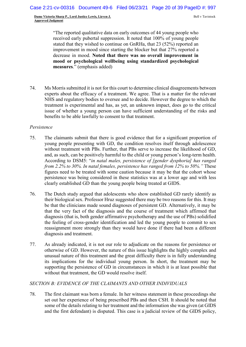Bell v Tavistock

"The reported qualitative data on early outcomes of 44 young people who received early pubertal suppression. It noted that 100% of young people stated that they wished to continue on GnRHa, that 23 (52%) reported an improvement in mood since starting the blocker but that 27% reported a decrease in mood. **Noted that there was no overall improvement in mood or psychological wellbeing using standardized psychological measures**." (emphasis added)

74. Ms Morris submitted it is not for this court to determine clinical disagreements between experts about the efficacy of a treatment. We agree. That is a matter for the relevant NHS and regulatory bodies to oversee and to decide. However the degree to which the treatment is experimental and has, as yet, an unknown impact, does go to the critical issue of whether a young person can have sufficient understanding of the risks and benefits to be able lawfully to consent to that treatment.

#### *Persistence*

- 75. The claimants submit that there is good evidence that for a significant proportion of young people presenting with GD, the condition resolves itself through adolescence without treatment with PBs. Further, that PBs serve to increase the likelihood of GD, and, as such, can be positively harmful to the child or young person's long-term health. According to DSM5: "*in natal males, persistence of [gender dysphoria] has ranged from 2.2% to 30%. In natal females, persistence has ranged from 12% to 50%."* These figures need to be treated with some caution because it may be that the cohort whose persistence was being considered in these statistics was at a lower age and with less clearly established GD than the young people being treated at GIDS.
- 76. The Dutch study argued that adolescents who show established GD rarely identify as their biological sex. Professor Hruz suggested there may be two reasons for this. It may be that the clinicians made sound diagnoses of persistent GD. Alternatively, it may be that the very fact of the diagnosis and the course of treatment which affirmed that diagnosis (that is, both gender affirmative psychotherapy and the use of PBs) solidified the feeling of cross-gender identification and led the young people to commit to sex reassignment more strongly than they would have done if there had been a different diagnosis and treatment.
- 77. As already indicated, it is not our role to adjudicate on the reasons for persistence or otherwise of GD. However, the nature of this issue highlights the highly complex and unusual nature of this treatment and the great difficulty there is in fully understanding its implications for the individual young person. In short, the treatment may be supporting the persistence of GD in circumstances in which it is at least possible that without that treatment, the GD would resolve itself.

#### *SECTION B: EVIDENCE OF THE CLAIMANTS AND OTHER INDIVIDUALS*

78. The first claimant was born a female. In her witness statement in these proceedings she set out her experience of being prescribed PBs and then CSH. It should be noted that some of the details relating to her treatment and the information she was given (at GIDS and the first defendant) is disputed. This case is a judicial review of the GIDS policy,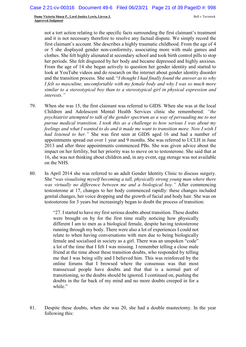Bell v Tavistock

not a tort action relating to the specific facts surrounding the first claimant's treatment and it is not necessary therefore to resolve any factual dispute. We simply record the first claimant's account. She describes a highly traumatic childhood. From the age of 4 or 5 she displayed gender non-conformity, associating more with male games and clothes. She felt highly alienated at secondary school and took birth control pills to stop her periods. She felt disgusted by her body and became depressed and highly anxious. From the age of 14 she began actively to question her gender identity and started to look at YouTube videos and do research on the internet about gender identity disorder and the transition process. She said: "*I thought I had finally found the answer as to why I felt so masculine, uncomfortable with my female body and why I was so much more similar to a stereotypical boy than to a stereotypical girl in physical expression and interests."* 

- 79. When she was 15, the first claimant was referred to GIDS. When she was at the local Children and Adolescent Mental Health Services clinic she remembered: *"the psychiatrist attempted to talk of the gender spectrum as a way of persuading me to not pursue medical transition. I took this as a challenge to how serious I was about my feelings and what I wanted to do and it made me want to transition more. Now I wish I had listened to her."* She was first seen at GIDS aged 16 and had a number of appointments spread out over 1 year and 9 months. She was referred to UCLH in June 2013 and after three appointments commenced PBs. She was given advice about the impact on her fertility, but her priority was to move on to testosterone. She said that at 16, she was not thinking about children and, in any event, egg storage was not available on the NHS.
- 80. In April 2014 she was referred to an adult Gender Identity Clinic to discuss surgery. She "*was visualising myself becoming a tall, physically strong young man where there was virtually no difference between me and a biological boy."* After commencing testosterone at 17, changes to her body commenced rapidly: these changes included genital changes, her voice dropping and the growth of facial and body hair. She was on testosterone for 3 years but increasingly began to doubt the process of transition:

"27. I started to have my first serious doubts about transition. These doubts were brought on by for the first time really noticing how physically different I am to men as a biological female, despite having testosterone running through my body. There were also a lot of experiences I could not relate to when having conversations with men due to being biologically female and socialised in society as a girl. There was an unspoken "code" a lot of the time that I felt I was missing. I remember telling a close male friend at the time about these transition doubts, who responded by telling me that I was being silly and I believed him. This was reinforced by the online forums that I browsed where the consensus was that most transsexual people have doubts and that that is a normal part of transitioning, so the doubts should be ignored. I continued on, pushing the doubts in the far back of my mind and no more doubts creeped in for a while."

81. Despite these doubts, when she was 20, she had a double mastectomy. In the year following this: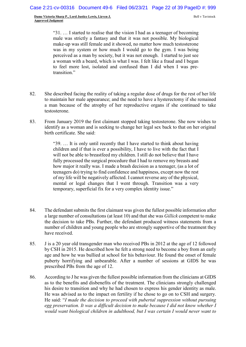"31. … I started to realise that the vision I had as a teenager of becoming male was strictly a fantasy and that it was not possible. My biological make-up was still female and it showed, no matter how much testosterone was in my system or how much I would go to the gym. I was being perceived as a man by society, but it was not enough. I started to just see a woman with a beard, which is what I was. I felt like a fraud and I began to feel more lost, isolated and confused than I did when I was pretransition."

- 82. She described facing the reality of taking a regular dose of drugs for the rest of her life to maintain her male appearance; and the need to have a hysterectomy if she remained a man because of the atrophy of her reproductive organs if she continued to take testosterone.
- 83. From January 2019 the first claimant stopped taking testosterone. She now wishes to identify as a woman and is seeking to change her legal sex back to that on her original birth certificate. She said:

"39. … It is only until recently that I have started to think about having children and if that is ever a possibility, I have to live with the fact that I will not be able to breastfeed my children. I still do not believe that I have fully processed the surgical procedure that I had to remove my breasts and how major it really was. I made a brash decision as a teenager, (as a lot of teenagers do) trying to find confidence and happiness, except now the rest of my life will be negatively affected. I cannot reverse any of the physical, mental or legal changes that I went through. Transition was a very temporary, superficial fix for a very complex identity issue."

- 84. The defendant submits the first claimant was given the fullest possible information after a large number of consultations (at least 10) and that she was *Gillick* competent to make the decision to take PBs. Further, the defendant produced witness statements from a number of children and young people who are strongly supportive of the treatment they have received.
- 85. J is a 20 year old transgender man who received PBs in 2012 at the age of 12 followed by CSH in 2015. He described how he felt a strong need to become a boy from an early age and how he was bullied at school for his behaviour. He found the onset of female puberty horrifying and unbearable. After a number of sessions at GIDS he was prescribed PBs from the age of 12.
- 86. According to J he was given the fullest possible information from the clinicians at GIDS as to the benefits and disbenefits of the treatment. The clinicians strongly challenged his desire to transition and why he had chosen to express his gender identity as male. He was advised as to the impact on fertility if he chose to go on to CSH and surgery. He said: "*I made the decision to proceed with pubertal suppression without pursuing egg preservation. It was a difficult decision to make because I did not know whether I would want biological children in adulthood, but I was certain I would never want to*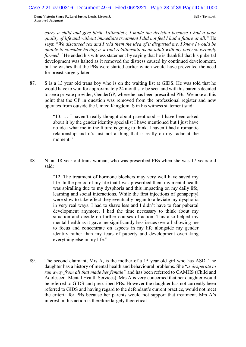*carry a child and give birth. Ultimately, I made the decision because I had a poor quality of life and without immediate treatment I did not feel I had a future at all."* He says: "*We discussed sex and I told them the idea of it disgusted me. I knew I would be unable to consider having a sexual relationship as an adult with my body so wrongly formed.*" He ended his witness statement by saying that he is thankful that his pubertal development was halted as it removed the distress caused by continued development, but he wishes that the PBs were started earlier which would have prevented the need for breast surgery later.

87. S is a 13 year old trans boy who is on the waiting list at GIDS. He was told that he would have to wait for approximately 24 months to be seen and with his parents decided to see a private provider, GenderGP, where he has been prescribed PBs. We note at this point that the GP in question was removed from the professional register and now operates from outside the United Kingdom. S in his witness statement said:

> "13. … I haven't really thought about parenthood – I have been asked about it by the gender identity specialist I have mentioned but I just have no idea what me in the future is going to think. I haven't had a romantic relationship and it's just not a thing that is really on my radar at the moment."

88. N, an 18 year old trans woman, who was prescribed PBs when she was 17 years old said:

> "12. The treatment of hormone blockers may very well have saved my life. In the period of my life that I was prescribed them my mental health was spiralling due to my dysphoria and this impacting on my daily life, learning and social interactions. While the first injections of gonapeptyl were slow to take effect they eventually began to alleviate my dysphoria in very real ways. I had to shave less and I didn't have to fear pubertal development anymore. I had the time necessary to think about my situation and decide on further courses of action. This also helped my mental health as it gave me significantly less issues overall allowing me to focus and concentrate on aspects in my life alongside my gender identity rather than my fears of puberty and development overtaking everything else in my life."

89. The second claimant, Mrs A, is the mother of a 15 year old girl who has ASD. The daughter has a history of mental health and behavioural problems. She "*is desperate to run away from all that made her female"* and has been referred to CAMHS (Child and Adolescent Mental Health Services). Mrs A is very concerned that her daughter would be referred to GIDS and prescribed PBs. However the daughter has not currently been referred to GIDS and having regard to the defendant's current practice, would not meet the criteria for PBs because her parents would not support that treatment. Mrs A's interest in this action is therefore largely theoretical.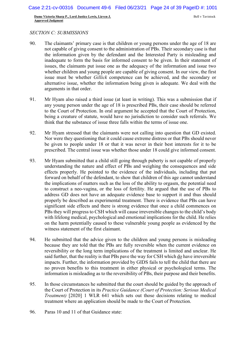Bell v Tavistock

#### *SECTION C: SUBMISSIONS*

- 90. The claimants' primary case is that children or young persons under the age of 18 are not capable of giving consent to the administration of PBs. Their secondary case is that the information given by the defendant and the Interested Party is misleading and inadequate to form the basis for informed consent to be given. In their statement of issues, the claimants put issue one as the adequacy of the information and issue two whether children and young people are capable of giving consent. In our view, the first issue must be whether *Gillick* competence can be achieved, and the secondary or alternative issue, whether the information being given is adequate. We deal with the arguments in that order.
- 91. Mr Hyam also raised a third issue (at least in writing). This was a submission that if any young person under the age of 18 is prescribed PBs, their case should be referred to the Court of Protection. In oral argument he accepted that the Court of Protection, being a creature of statute, would have no jurisdiction to consider such referrals. We think that the substance of issue three falls within the terms of issue one.
- 92. Mr Hyam stressed that the claimants were not calling into question that GD existed. Nor were they questioning that it could cause extreme distress or that PBs should never be given to people under 18 or that it was never in their best interests for it to be prescribed. The central issue was whether those under 18 could give informed consent.
- 93. Mr Hyam submitted that a child still going through puberty is not capable of properly understanding the nature and effect of PBs and weighing the consequences and side effects properly. He pointed to the evidence of the individuals, including that put forward on behalf of the defendant, to show that children of this age cannot understand the implications of matters such as the loss of the ability to orgasm, the potential need to construct a neo-vagina, or the loss of fertility. He argued that the use of PBs to address GD does not have an adequate evidence base to support it and thus should properly be described as experimental treatment. There is evidence that PBs can have significant side effects and there is strong evidence that once a child commences on PBs they will progress to CSH which will cause irreversible changes to the child's body with lifelong medical, psychological and emotional implications for the child. He relies on the harm potentially caused to these vulnerable young people as evidenced by the witness statement of the first claimant.
- 94. He submitted that the advice given to the children and young persons is misleading because they are told that the PBs are fully reversible when the current evidence on reversibility or the long term implications of the treatment is limited and unclear. He said further, that the reality is that PBs pave the way for CSH which do have irreversible impacts. Further, the information provided by GIDS fails to tell the child that there are no proven benefits to this treatment in either physical or psychological terms. The information is misleading as to the reversibility of PBs, their purpose and their benefits.
- 95. In those circumstances he submitted that the court should be guided by the approach of the Court of Protection in its *Practice Guidance (Court of Protection: Serious Medical Treatment)* [2020] 1 WLR 641 which sets out those decisions relating to medical treatment where an application should be made to the Court of Protection.
- 96. Paras 10 and 11 of that Guidance state: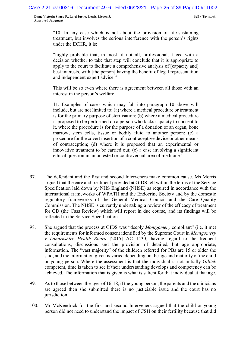Bell v Tavistock

"10. In any case which is not about the provision of life-sustaining treatment, but involves the serious interference with the person's rights under the ECHR, it is:

"highly probable that, in most, if not all, professionals faced with a decision whether to take that step will conclude that it is appropriate to apply to the court to facilitate a comprehensive analysis of [capacity and] best interests, with [the person] having the benefit of legal representation and independent expert advice."

This will be so even where there is agreement between all those with an interest in the person's welfare.

11. Examples of cases which may fall into paragraph 10 above will include, but are not limited to: (a) where a medical procedure or treatment is for the primary purpose of sterilisation; (b) where a medical procedure is proposed to be performed on a person who lacks capacity to consent to it, where the procedure is for the purpose of a donation of an organ, bone marrow, stem cells, tissue or bodily fluid to another person; (c) a procedure for the covert insertion of a contraceptive device or other means of contraception; (d) where it is proposed that an experimental or innovative treatment to be carried out; (e) a case involving a significant ethical question in an untested or controversial area of medicine."

- 97. The defendant and the first and second Interveners make common cause. Ms Morris argued that the care and treatment provided at GIDS fell within the terms of the Service Specification laid down by NHS England (NHSE) as required in accordance with the international frameworks of WPATH and the Endocrine Society and by the domestic regulatory frameworks of the General Medical Council and the Care Quality Commission. The NHSE is currently undertaking a review of the efficacy of treatment for GD (the Cass Review) which will report in due course, and its findings will be reflected in the Service Specification.
- 98. She argued that the process at GIDS was "deeply *Montgomery* compliant" (i.e. it met the requirements for informed consent identified by the Supreme Court in *Montgomery v Lanarkshire Health Board* [2015] AC 1430) having regard to the frequent consultations, discussions and the provision of detailed, but age appropriate, information. The "vast majority" of the children referred for PBs are 15 or older she said, and the information given is varied depending on the age and maturity of the child or young person. Where the assessment is that the individual is not initially *Gillick* competent, time is taken to see if their understanding develops and competency can be achieved. The information that is given is what is salient for that individual at that age.
- 99. As to those between the ages of 16-18, if the young person, the parents and the clinicians are agreed then she submitted there is no justiciable issue and the court has no jurisdiction.
- 100. Mr McKendrick for the first and second Interveners argued that the child or young person did not need to understand the impact of CSH on their fertility because that did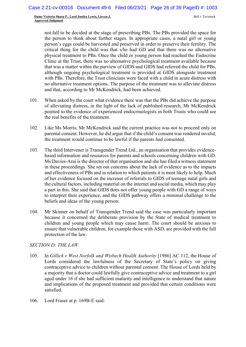not fall to be decided at the stage of prescribing PBs. The PBs provided the space for the person to think about further stages. In appropriate cases, a natal girl or young person's eggs could be harvested and preserved in order to preserve their fertility. The critical thing for the child was that s/he had GD and that there was no alternative physical treatment to PBs. Once the child or young person had reached the Endocrine Clinic at the Trust, there was no alternative psychological treatment available because that was a matter within the purview of GIDS and GIDS had referred the child for PBs, although ongoing psychological treatment is provided at GIDS alongside treatment with PBs. Therefore, the Trust clinicians were faced with a child in acute distress with no alternative treatment options. The purpose of the treatment was to alleviate distress and that, according to Mr McKendrick, had been achieved.

- 101. When asked by the court what evidence there was that the PBs did achieve the purpose of alleviating distress, in the light of the lack of published research, Mr McKendrick pointed to the evidence of experienced endocrinologists in both Trusts who could see the real benefits of the treatment.
- 102. Like Ms Morris, Mr McKendrick said the current practice was not to proceed only on parental consent. However, he did argue that if the child's consent was rendered invalid, the treatment would continue to be lawful if the parents had consented.
- 103. The third Intervener is Transgender Trend Ltd., an organisation that provides evidencebased information and resources for parents and schools concerning children with GD. Ms Davies-Arai is the director of that organisation and she has filed a witness statement in these proceedings. She set out concerns about the lack of evidence as to the impacts and effectiveness of PBs and in relation to which patients it is most likely to help. Much of her evidence focused on the increase of referrals to GIDS of teenage natal girls and the cultural factors, including material on the internet and social media, which may play a part in this. She said that GIDS does not offer young people with GD a range of ways to interpret their experience, and the GIDS pathway offers a minimal challenge to the beliefs and ideas of the young person.
- 104. Mr Skinner on behalf of Transgender Trend said the case was particularly important because it concerned the deliberate provision by the State of medical treatment to children and young people which may cause harm. The court should be anxious to ensure that vulnerable children, for example those with ASD, are provided with the full protection of the law.

#### *SECTION D: THE LAW*

- 105. In *Gillick v West Norfolk and Wisbech Health Authority* [1986] AC 112, the House of Lords considered the lawfulness of the Secretary of State's policy on giving contraceptive advice to children without parental consent. The House of Lords held by a majority that a doctor could lawfully give contraceptive advice and treatment to a girl aged under 16 if she had sufficient maturity and intelligence to understand that nature and implications of the proposed treatment and provided that certain conditions were satisfied.
- 106. Lord Fraser at p. 169B-E said: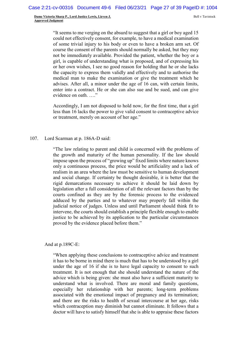Bell v Tavistock

"It seems to me verging on the absurd to suggest that a girl or boy aged 15 could not effectively consent, for example, to have a medical examination of some trivial injury to his body or even to have a broken arm set. Of course the consent of the parents should normally be asked, but they may not be immediately available. Provided the patient, whether the boy or a girl, is capable of understanding what is proposed, and of expressing his or her own wishes, I see no good reason for holding that he or she lacks the capacity to express them validly and effectively and to authorise the medical man to make the examination or give the treatment which he advises. After all, a minor under the age of 16 can, with certain limits, enter into a contract. He or she can also sue and be sued, and can give evidence on oath. …."

Accordingly, I am not disposed to hold now, for the first time, that a girl less than 16 lacks the power to give valid consent to contraceptive advice or treatment, merely on account of her age."

#### 107. Lord Scarman at p. 186A-D said:

"The law relating to parent and child is concerned with the problems of the growth and maturity of the human personality. If the law should impose upon the process of "growing up" fixed limits where nature knows only a continuous process, the price would be artificiality and a lack of realism in an area where the law must be sensitive to human development and social change. If certainty be thought desirable, it is better that the rigid demarcations necessary to achieve it should be laid down by legislation after a full consideration of all the relevant factors than by the courts confined as they are by the forensic process to the evidenced adduced by the parties and to whatever may properly fall within the judicial notice of judges. Unless and until Parliament should think fit to intervene, the courts should establish a principle flexible enough to enable justice to be achieved by its application to the particular circumstances proved by the evidence placed before them."

And at p.189C-E:

"When applying these conclusions to contraceptive advice and treatment it has to be borne in mind there is much that has to be understood by a girl under the age of 16 if she is to have legal capacity to consent to such treatment. It is not enough that she should understand the nature of the advice which is being given: she must also have a sufficient maturity to understand what is involved. There are moral and family questions, especially her relationship with her parents; long-term problems associated with the emotional impact of pregnancy and its termination; and there are the risks to health of sexual intercourse at her age, risks which contraception may diminish but cannot eliminate. It follows that a doctor will have to satisfy himself that she is able to appraise these factors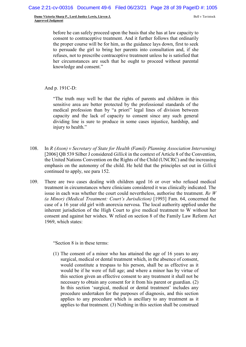Bell v Tavistock

before he can safely proceed upon the basis that she has at law capacity to consent to contraceptive treatment. And it further follows that ordinarily the proper course will be for him, as the guidance lays down, first to seek to persuade the girl to bring her parents into consultation and, if she refuses, not to prescribe contraceptive treatment unless he is satisfied that her circumstances are such that he ought to proceed without parental knowledge and consent."

And p. 191C-D:

"The truth may well be that the rights of parents and children in this sensitive area are better protected by the professional standards of the medical profession than by "a priori" legal lines of division between capacity and the lack of capacity to consent since any such general dividing line is sure to produce in some cases injustice, hardship, and injury to health."

- 108. In *R (Axon) v Secretary of State for Health (Family Planning Association Intervening)*  [2006] QB 539 Silber J considered *Gillick* in the context of Article 8 of the Convention, the United Nations Convention on the Rights of the Child (UNCRC) and the increasing emphasis on the autonomy of the child. He held that the principles set out in *Gillick*  continued to apply, see para 152.
- 109. There are two cases dealing with children aged 16 or over who refused medical treatment in circumstances where clinicians considered it was clinically indicated. The issue in each was whether the court could nevertheless, authorise the treatment. *Re W (a Minor) (Medical Treatment: Court's Jurisdiction)* [1993] Fam. 64, concerned the case of a 16 year old girl with anorexia nervosa. The local authority applied under the inherent jurisdiction of the High Court to give medical treatment to W without her consent and against her wishes. W relied on section 8 of the Family Law Reform Act 1969, which states:

"Section 8 is in these terms:

(1) The consent of a minor who has attained the age of 16 years to any surgical, medical or dental treatment which, in the absence of consent, would constitute a trespass to his person, shall be as effective as it would be if he were of full age; and where a minor has by virtue of this section given an effective consent to any treatment it shall not be necessary to obtain any consent for it from his parent or guardian. (2) In this section 'surgical, medical or dental treatment' includes any procedure undertaken for the purposes of diagnosis, and this section applies to any procedure which is ancillary to any treatment as it applies to that treatment. (3) Nothing in this section shall be construed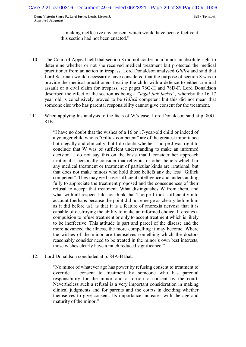Bell v Tavistock

as making ineffective any consent which would have been effective if this section had not been enacted."

- 110. The Court of Appeal held that section 8 did not confer on a minor an absolute right to determine whether or not she received medical treatment but protected the medical practitioner from an action in trespass. Lord Donaldson analysed *Gillick* and said that Lord Scarman would necessarily have considered that the purpose of section 8 was to provide the medical practitioners treating the child with a defence to either criminal assault or a civil claim for trespass, see pages 76G-H and 78D-F. Lord Donaldson described the effect of the section as being a *"legal flak jacket",* whereby the 16-17 year old is conclusively proved to be *Gillick* competent but this did not mean that someone else who has parental responsibility cannot give consent for the treatment.
- 111. When applying his analysis to the facts of W's case, Lord Donaldson said at p. 80G-81B:

"I have no doubt that the wishes of a 16 or 17-year-old child or indeed of a younger child who is "Gillick competent" are of the greatest importance both legally and clinically, but I do doubt whether Thorpe J was right to conclude that W was of sufficient understanding to make an informed decision. I do not say this on the basis that I consider her approach irrational. I personally consider that religious or other beliefs which bar any medical treatment or treatment of particular kinds are irrational, but that does not make minors who hold those beliefs any the less "Gillick competent". They may well have sufficient intelligence and understanding fully to appreciate the treatment proposed and the consequences of their refusal to accept that treatment. What distinguishes W from them, and what with all respect I do not think that Thorpe J took sufficiently into account (perhaps because the point did not emerge as clearly before him as it did before us), is that it is a feature of anorexia nervosa that it is capable of destroying the ability to make an informed choice. It creates a compulsion to refuse treatment or only to accept treatment which is likely to be ineffective. This attitude is part and parcel of the disease and the more advanced the illness, the more compelling it may become. Where the wishes of the minor are themselves something which the doctors reasonably consider need to be treated in the minor's own best interests, those wishes clearly have a much reduced significance."

112. Lord Donaldson concluded at p. 84A-B that:

"No minor of whatever age has power by refusing consent to treatment to override a consent to treatment by someone who has parental responsibility for the minor and a fortiori a consent by the court. Nevertheless such a refusal is a very important consideration in making clinical judgments and for parents and the courts in deciding whether themselves to give consent. Its importance increases with the age and maturity of the minor."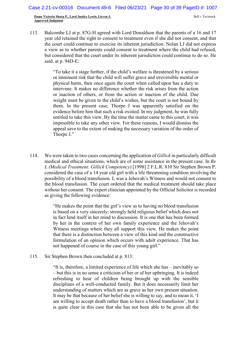Bell v Tavistock

113. Balcombe LJ at p. 87G-H agreed with Lord Donaldson that the parents of a 16 and 17 year old retained the right to consent to treatment even if she did not consent, and that the court could continue to exercise its inherent jurisdiction. Nolan LJ did not express a view as to whether parents could consent to treatment where the child had refused, but considered that the court under its inherent jurisdiction could continue to do so. He said, at p. 94D-E:

> "To take it a stage further, if the child's welfare is threatened by a serious or imminent risk that the child will suffer grave and irreversible mental or physical harm, then once again the court when called upon has a duty to intervene. It makes no difference whether the risk arises from the action or inaction of others, or from the action or inaction of the child. Due weight must be given to the child's wishes, but the court is not bound by them. In the present case, Thorpe J was apparently satisfied on the evidence before him that such a risk existed. In my judgment, he was fully entitled to take this view. By the time the matter came to this court, it was impossible to take any other view. For these reasons, I would dismiss the appeal save to the extent of making the necessary variation of the order of Thorpe J."

114. We were taken to two cases concerning the application of *Gillick* in particularly difficult medical and ethical situations, which are of some assistance in the present case. In *Re L (Medical Treatment: Gillick Competency*) [1998] 2 F.L.R. 810 Sir Stephen Brown P. considered the case of a 14 year old girl with a life threatening condition involving the possibility of a blood transfusion. L was a Jehovah's Witness and would not consent to the blood transfusion. The court ordered that the medical treatment should take place without her consent. The expert clinician appointed by the Official Solicitor is recorded as giving the following evidence:

> "He makes the point that the girl's view as to having no blood transfusion is based on a very sincerely, strongly held religious belief which does not in fact lend itself in her mind to discussion. It is one that has been formed by her in the context of her own family experience and the Jehovah's Witness meetings where they all support this view. He makes the point that there is a distinction between a view of this kind and the constructive formulation of an opinion which occurs with adult experience. That has not happened of course in the case of this young girl."

115. Sir Stephen Brown then concluded at p. 813:

"It is, therefore, a limited experience of life which she has – inevitably so – but this is in no sense a criticism of her or of her upbringing. It is indeed refreshing to hear of children being brought up with the sensible disciplines of a well-conducted family. But it does necessarily limit her understanding of matters which are as grave as her own present situation. It may be that because of her belief she is willing to say, and to mean it, 'I am willing to accept death rather than to have a blood transfusion', but it is quite clear in this case that she has not been able to be given all the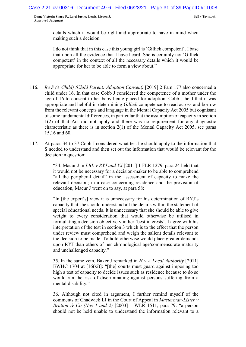Bell v Tavistock

details which it would be right and appropriate to have in mind when making such a decision.

I do not think that in this case this young girl is 'Gillick competent'. I base that upon all the evidence that I have heard. She is certainly not 'Gillick competent' in the context of all the necessary details which it would be appropriate for her to be able to form a view about."

- 116. *Re S (A Child) (Child Parent: Adoption Consent)* [2019] 2 Fam 177 also concerned a child under 16. In that case Cobb J considered the competence of a mother under the age of 16 to consent to her baby being placed for adoption. Cobb J held that it was appropriate and helpful in determining *Gillick* competence to read across and borrow from the relevant concepts and language in the Mental Capacity Act 2005 but cognisant of some fundamental differences, in particular that the assumption of capacity in section 1(2) of that Act did not apply and there was no requirement for any diagnostic characteristic as there is in section 2(1) of the Mental Capacity Act 2005, see paras 15,16 and 60.
- 117. At paras 34 to 37 Cobb J considered what test he should apply to the information that S needed to understand and then set out the information that would be relevant for the decision in question:

"34. Macur J in *LBL v RYJ and VJ* [2011] 1 FLR 1279, para 24 held that it would not be necessary for a decision-maker to be able to comprehend "all the peripheral detail" in the assessment of capacity to make the relevant decision; in a case concerning residence and the provision of education, Macur J went on to say, at para 58:

"In [the expert's] view it is unnecessary for his determination of RYJ's capacity that she should understand all the details within the statement of special educational needs. It is unnecessary that she should be able to give weight to every consideration that would otherwise be utilised in formulating a decision objectively in her 'best interests'. I agree with his interpretation of the test in section 3 which is to the effect that the person under review must comprehend and weigh the salient details relevant to the decision to be made. To hold otherwise would place greater demands upon RYJ than others of her chronological age/commensurate maturity and unchallenged capacity."

35. In the same vein, Baker J remarked in *H v A Local Authority* [2011] EWHC 1704 at  $[16(xi)]$ : "[the] courts must guard against imposing too high a test of capacity to decide issues such as residence because to do so would run the risk of discriminating against persons suffering from a mental disability."

36. Although not cited in argument, I further remind myself of the comments of Chadwick LJ in the Court of Appeal in *Masterman-Lister v Brutton & Co (Nos 1 and 2)* [2003] 1 WLR 1511, para 79: "a person should not be held unable to understand the information relevant to a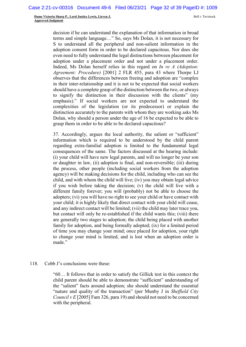Bell v Tavistock

decision if he can understand the explanation of that information in broad terms and simple language…" So, says Ms Dolan, it is not necessary for S to understand all the peripheral and non-salient information in the adoption consent form in order to be declared capacitous. Nor does she even need to fully understand the legal distinctions between placement for adoption under a placement order and not under a placement order. Indeed, Ms Dolan herself relies in this regard on *In re A (Adoption: Agreement: Procedure)* [2001] 2 FLR 455, para 43 where Thorpe LJ observes that the differences between freeing and adoption are "complex in their inter-relationship and it is not to be expected that social workers should have a complete grasp of the distinction between the two, or always to signify the distinction in their discussion with the clients" (my emphasis)." If social workers are not expected to understand the complexities of the legislation (or its predecessor) or explain the distinction accurately to the parents with whom they are working asks Ms Dolan, why should a person under the age of 16 be expected to be able to grasp them in order to be able to be declared capacitous?

37. Accordingly, argues the local authority, the salient or "sufficient" information which is required to be understood by the child parent regarding extra-familial adoption is limited to the fundamental legal consequences of the same. The factors discussed at the hearing include: (i) your child will have new legal parents, and will no longer be your son or daughter in law, (ii) adoption is final, and non-reversible; (iii) during the process, other people (including social workers from the adoption agency) will be making decisions for the child, including who can see the child, and with whom the child will live; (iv) you may obtain legal advice if you wish before taking the decision; (v) the child will live with a different family forever; you will (probably) not be able to choose the adopters; (vi) you will have no right to see your child or have contact with your child; it is highly likely that direct contact with your child will cease, and any indirect contact will be limited; (vii) the child may later trace you, but contact will only be re-established if the child wants this; (viii) there are generally two stages to adoption; the child being placed with another family for adoption, and being formally adopted; (ix) for a limited period of time you may change your mind; once placed for adoption, your right to change your mind is limited, and is lost when an adoption order is made."

#### 118. Cobb J's conclusions were these:

"60… It follows that in order to satisfy the Gillick test in this context the child parent should be able to demonstrate "sufficient" understanding of the "salient" facts around adoption; she should understand the essential "nature and quality of the transaction" (per Munby J in *Sheffield City Council v E* [2005] Fam 326, para 19) and should not need to be concerned with the peripheral.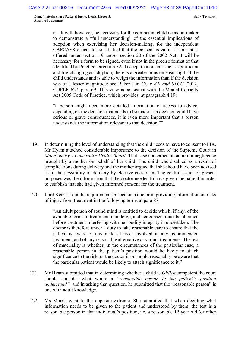Bell v Tavistock

61. It will, however, be necessary for the competent child decision-maker to demonstrate a "full understanding" of the essential implications of adoption when exercising her decision-making, for the independent CAFCASS officer to be satisfied that the consent is valid. If consent is offered under section 19 and/or section 20 of the 2002 Act, it will be necessary for a form to be signed, even if not in the precise format of that identified by Practice Direction 5A. I accept that on an issue as significant and life-changing as adoption, there is a greater onus on ensuring that the child understands and is able to weigh the information than if the decision was of a lesser magnitude: see Baker J in *CC v KK and STCC* [2012] COPLR 627, para 69. This view is consistent with the Mental Capacity Act 2005 Code of Practice, which provides, at paragraph 4.19:

"a person might need more detailed information or access to advice, depending on the decision that needs to be made. If a decision could have serious or grave consequences, it is even more important that a person understands the information relevant to that decision.""

- 119. In determining the level of understanding that the child needs to have to consent to PBs, Mr Hyam attached considerable importance to the decision of the Supreme Court in *Montgomery v Lancashire Health Board*. That case concerned an action in negligence brought by a mother on behalf of her child. The child was disabled as a result of complications during delivery and the mother argued that she should have been advised as to the possibility of delivery by elective caesarean. The central issue for present purposes was the information that the doctor needed to have given the patient in order to establish that she had given informed consent for the treatment.
- 120. Lord Kerr set out the requirements placed on a doctor in providing information on risks of injury from treatment in the following terms at para 87:

"An adult person of sound mind is entitled to decide which, if any, of the available forms of treatment to undergo, and her consent must be obtained before treatment interfering with her bodily integrity is undertaken. The doctor is therefore under a duty to take reasonable care to ensure that the patient is aware of any material risks involved in any recommended treatment, and of any reasonable alternative or variant treatments. The test of materiality is whether, in the circumstances of the particular case, a reasonable person in the patient's position would be likely to attach significance to the risk, or the doctor is or should reasonably be aware that the particular patient would be likely to attach significance to it."

- 121. Mr Hyam submitted that in determining whether a child is *Gillick* competent the court should consider what would a *"reasonable person in the patient's position understand"*, and in asking that question, he submitted that the "reasonable person" is one with adult knowledge.
- 122. Ms Morris went to the opposite extreme. She submitted that when deciding what information needs to be given to the patient and understood by them, the test is a reasonable person in that individual's position, i.e. a reasonable 12 year old (or other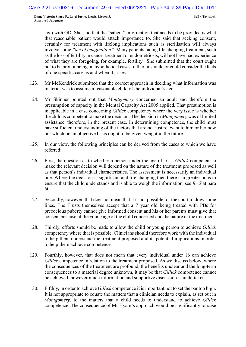Bell v Tavistock

age) with GD. She said that the "salient" information that needs to be provided is what that reasonable patient would attach importance to. She said that seeking consent, certainly for treatment with lifelong implications such as sterilisation will always involve some *"act of imagination".* Many patients facing life changing treatment, such as the loss of fertility in cancer treatment or endometriosis, will not have had experience of what they are foregoing, for example, fertility. She submitted that the court ought not to be pronouncing on hypothetical cases: rather, it should or could consider the facts of one specific case as and when it arises.

- 123. Mr McKendrick submitted that the correct approach in deciding what information was material was to assume a reasonable child of the individual's age.
- 124. Mr Skinner pointed out that *Montgomery* concerned an adult and therefore the presumption of capacity in the Mental Capacity Act 2005 applied. That presumption is inapplicable in a case concerning *Gillick* competency where the very issue is whether the child is competent to make the decision. The decision in *Montgomery* was of limited assistance, therefore, in the present case. In determining competence, the child must have sufficient understanding of the factors that are not just relevant to him or her now but which on an objective basis ought to be given weight in the future.
- 125. In our view, the following principles can be derived from the cases to which we have referred:
- 126. First, the question as to whether a person under the age of 16 is *Gillick* competent to make the relevant decision will depend on the nature of the treatment proposed as well as that person's individual characteristics. The assessment is necessarily an individual one. Where the decision is significant and life changing then there is a greater onus to ensure that the child understands and is able to weigh the information, see *Re S* at para 60.
- 127. Secondly, however, that does not mean that it is not possible for the court to draw some lines. The Trusts themselves accept that a 7 year old being treated with PBs for precocious puberty cannot give informed consent and his or her parents must give that consent because of the young age of the child concerned and the nature of the treatment.
- 128. Thirdly, efforts should be made to allow the child or young person to achieve *Gillick* competency where that is possible. Clinicians should therefore work with the individual to help them understand the treatment proposed and its potential implications in order to help them achieve competence.
- 129. Fourthly, however, that does not mean that every individual under 16 can achieve *Gillick* competence in relation to the treatment proposed. As we discuss below, where the consequences of the treatment are profound, the benefits unclear and the long-term consequences to a material degree unknown, it may be that *Gillick* competence cannot be achieved, however much information and supportive discussion is undertaken.
- 130. Fifthly, in order to achieve *Gillick* competence it is important not to set the bar too high. It is not appropriate to equate the matters that a clinician needs to explain, as set out in *Montgomery*, to the matters that a child needs to understand to achieve *Gillick* competence. The consequence of Mr Hyam's approach would be significantly to raise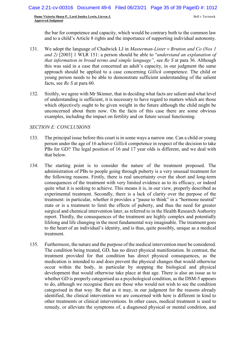the bar for competence and capacity, which would be contrary both to the common law and to a child's Article 8 rights and the importance of supporting individual autonomy.

- 131. We adopt the language of Chadwick LJ in *Masterman-Lister v Brutton and Co (Nos 1 and 2)* [2003] 1 WLR 151: a person should be able to "*understand an explanation of that information in broad terms and simple language"*, see *Re S* at para 36. Although this was said in a case that concerned an adult's capacity, in our judgment the same approach should be applied to a case concerning *Gillick* competence. The child or young person needs to be able to demonstrate sufficient understanding of the salient facts, see *Re S* at para 60.
- 132. Sixthly, we agree with Mr Skinner, that in deciding what facts are salient and what level of understanding is sufficient, it is necessary to have regard to matters which are those which objectively ought to be given weight in the future although the child might be unconcerned about them now. On the facts of this case there are some obvious examples, including the impact on fertility and on future sexual functioning.

#### *SECTION E: CONCLUSIONS*

- 133. The principal issue before this court is in some ways a narrow one. Can a child or young person under the age of 16 achieve *Gillick* competence in respect of the decision to take PBs for GD? The legal position of 16 and 17 year olds is different, and we deal with that below.
- 134. The starting point is to consider the nature of the treatment proposed. The administration of PBs to people going through puberty is a very unusual treatment for the following reasons. Firstly, there is real uncertainty over the short and long-term consequences of the treatment with very limited evidence as to its efficacy, or indeed quite what it is seeking to achieve. This means it is, in our view, properly described as experimental treatment. Secondly, there is a lack of clarity over the purpose of the treatment: in particular, whether it provides a "pause to think" in a "hormone neutral" state or is a treatment to limit the effects of puberty, and thus the need for greater surgical and chemical intervention later, as referred to in the Health Research Authority report. Thirdly, the consequences of the treatment are highly complex and potentially lifelong and life changing in the most fundamental way imaginable. The treatment goes to the heart of an individual's identity, and is thus, quite possibly, unique as a medical treatment.
- 135. Furthermore, the nature and the purpose of the medical intervention must be considered. The condition being treated, GD, has no direct physical manifestation. In contrast, the treatment provided for that condition has direct physical consequences, as the medication is intended to and does prevent the physical changes that would otherwise occur within the body, in particular by stopping the biological and physical development that would otherwise take place at that age. There is also an issue as to whether GD is properly categorised as a psychological condition, as the DSM-5 appears to do, although we recognise there are those who would not wish to see the condition categorised in that way. Be that as it may, in our judgment for the reasons already identified, the clinical intervention we are concerned with here is different in kind to other treatments or clinical interventions. In other cases, medical treatment is used to remedy, or alleviate the symptoms of, a diagnosed physical or mental condition, and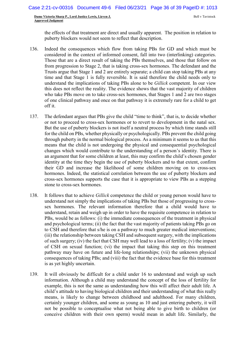Bell v Tavistock

the effects of that treatment are direct and usually apparent. The position in relation to puberty blockers would not seem to reflect that description.

- 136. Indeed the consequences which flow from taking PBs for GD and which must be considered in the context of informed consent, fall into two (interlinking) categories. Those that are a direct result of taking the PBs themselves, and those that follow on from progression to Stage 2, that is taking cross-sex hormones. The defendant and the Trusts argue that Stage 1 and 2 are entirely separate; a child can stop taking PBs at any time and that Stage 1 is fully reversible. It is said therefore the child needs only to understand the implications of taking PBs alone to be *Gillick* competent. In our view this does not reflect the reality. The evidence shows that the vast majority of children who take PBs move on to take cross-sex hormones, that Stages 1 and 2 are two stages of one clinical pathway and once on that pathway it is extremely rare for a child to get off it.
- 137. The defendant argues that PBs give the child "time to think", that is, to decide whether or not to proceed to cross-sex hormones or to revert to development in the natal sex. But the use of puberty blockers is not itself a neutral process by which time stands still for the child on PBs, whether physically or psychologically. PBs prevent the child going through puberty in the normal biological process. As a minimum it seems to us that this means that the child is not undergoing the physical and consequential psychological changes which would contribute to the understanding of a person's identity. There is an argument that for some children at least, this may confirm the child's chosen gender identity at the time they begin the use of puberty blockers and to that extent, confirm their GD and increase the likelihood of some children moving on to cross-sex hormones. Indeed, the statistical correlation between the use of puberty blockers and cross-sex hormones supports the case that it is appropriate to view PBs as a stepping stone to cross-sex hormones.
- 138. It follows that to achieve *Gillick* competence the child or young person would have to understand not simply the implications of taking PBs but those of progressing to crosssex hormones. The relevant information therefore that a child would have to understand, retain and weigh up in order to have the requisite competence in relation to PBs, would be as follows: (i) the immediate consequences of the treatment in physical and psychological terms; (ii) the fact that the vast majority of patients taking PBs go on to CSH and therefore that s/he is on a pathway to much greater medical interventions; (iii) the relationship between taking CSH and subsequent surgery, with the implications of such surgery; (iv) the fact that CSH may well lead to a loss of fertility; (v) the impact of CSH on sexual function; (vi) the impact that taking this step on this treatment pathway may have on future and life-long relationships; (vii) the unknown physical consequences of taking PBs; and (viii) the fact that the evidence base for this treatment is as yet highly uncertain.
- 139. It will obviously be difficult for a child under 16 to understand and weigh up such information. Although a child may understand the concept of the loss of fertility for example, this is not the same as understanding how this will affect their adult life. A child's attitude to having biological children and their understanding of what this really means, is likely to change between childhood and adulthood. For many children, certainly younger children, and some as young as 10 and just entering puberty, it will not be possible to conceptualise what not being able to give birth to children (or conceive children with their own sperm) would mean in adult life. Similarly, the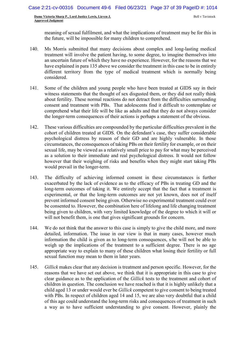meaning of sexual fulfilment, and what the implications of treatment may be for this in the future, will be impossible for many children to comprehend.

- 140. Ms Morris submitted that many decisions about complex and long-lasting medical treatment will involve the patient having, to some degree, to imagine themselves into an uncertain future of which they have no experience. However, for the reasons that we have explained in para 135 above we consider the treatment in this case to be in entirely different territory from the type of medical treatment which is normally being considered.
- 141. Some of the children and young people who have been treated at GIDS say in their witness statements that the thought of sex disgusted them, or they did not really think about fertility. These normal reactions do not detract from the difficulties surrounding consent and treatment with PBs. That adolescents find it difficult to contemplate or comprehend what their life will be like as adults and that they do not always consider the longer-term consequences of their actions is perhaps a statement of the obvious.
- 142. These various difficulties are compounded by the particular difficulties prevalent in the cohort of children treated at GIDS. On the defendant's case, they suffer considerable psychological distress by reason of their GD and are highly vulnerable. In those circumstances, the consequences of taking PBs on their fertility for example, or on their sexual life, may be viewed as a relatively small price to pay for what may be perceived as a solution to their immediate and real psychological distress. It would not follow however that their weighing of risks and benefits when they might start taking PBs would prevail in the longer-term.
- 143. The difficulty of achieving informed consent in these circumstances is further exacerbated by the lack of evidence as to the efficacy of PBs in treating GD and the long-term outcomes of taking it. We entirely accept that the fact that a treatment is experimental, or that the long-term outcomes are not yet known, does not of itself prevent informed consent being given. Otherwise no experimental treatment could ever be consented to. However, the combination here of lifelong and life changing treatment being given to children, with very limited knowledge of the degree to which it will or will not benefit them, is one that gives significant grounds for concern.
- 144. We do not think that the answer to this case is simply to give the child more, and more detailed, information. The issue in our view is that in many cases, however much information the child is given as to long-term consequences, s/he will not be able to weigh up the implications of the treatment to a sufficient degree. There is no age appropriate way to explain to many of these children what losing their fertility or full sexual function may mean to them in later years.
- 145. *Gillick* makes clear that any decision is treatment and person specific. However, for the reasons that we have set out above, we think that it is appropriate in this case to give clear guidance as to the application of the *Gillick* tests to the treatment and cohort of children in question. The conclusion we have reached is that it is highly unlikely that a child aged 13 or under would ever be *Gillick* competent to give consent to being treated with PBs. In respect of children aged 14 and 15, we are also very doubtful that a child of this age could understand the long-term risks and consequences of treatment in such a way as to have sufficient understanding to give consent. However, plainly the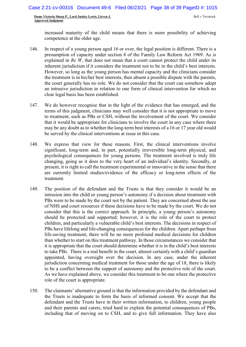increased maturity of the child means that there is more possibility of achieving competence at the older age.

- 146. In respect of a young person aged 16 or over, the legal position is different. There is a presumption of capacity under section 8 of the Family Law Reform Act 1969. As is explained in *Re W*, that does not mean that a court cannot protect the child under its inherent jurisdiction if it considers the treatment not to be in the child's best interests. However, so long as the young person has mental capacity and the clinicians consider the treatment is in his/her best interests, then absent a possible dispute with the parents, the court generally has no role. We do not consider that the court can somehow adopt an intrusive jurisdiction in relation to one form of clinical intervention for which no clear legal basis has been established.
- 147. We do however recognise that in the light of the evidence that has emerged, and the terms of this judgment, clinicians may well consider that it is not appropriate to move to treatment, such as PBs or CSH, without the involvement of the court. We consider that it would be appropriate for clinicians to involve the court in any case where there may be any doubt as to whether the long-term best interests of a 16 or 17 year old would be served by the clinical interventions at issue in this case.
- 148. We express that view for these reasons. First, the clinical interventions involve significant, long-term and, in part, potentially irreversible long-term physical, and psychological consequences for young persons. The treatment involved is truly life changing, going as it does to the very heart of an individual's identity. Secondly, at present, it is right to call the treatment experimental or innovative in the sense that there are currently limited studies/evidence of the efficacy or long-term effects of the treatment.
- 149. The position of the defendant and the Trusts is that they consider it would be an intrusion into the child or young person's autonomy if a decision about treatment with PBs were to be made by the court not by the patient. They are concerned about the use of NHS and court resources if these decisions have to be made by the court. We do not consider that this is the correct approach. In principle, a young person's autonomy should be protected and supported; however, it is the role of the court to protect children, and particularly a vulnerable child's best interests. The decisions in respect of PBs have lifelong and life-changing consequences for the children. Apart perhaps from life-saving treatment, there will be no more profound medical decisions for children than whether to start on this treatment pathway. In those circumstances we consider that it is appropriate that the court should determine whether it is in the child's best interests to take PBs. There is a real benefit in the court, almost certainly with a child's guardian appointed, having oversight over the decision. In any case, under the inherent jurisdiction concerning medical treatment for those under the age of 18, there is likely to be a conflict between the support of autonomy and the protective role of the court. As we have explained above, we consider this treatment to be one where the protective role of the court is appropriate.
- 150. The claimants' alternative ground is that the information provided by the defendant and the Trusts is inadequate to form the basis of informed consent. We accept that the defendant and the Trusts have in their written information, to children, young people and their parents and carers, tried hard to explain the potential consequences of PBs, including that of moving on to CSH, and to give full information. They have also